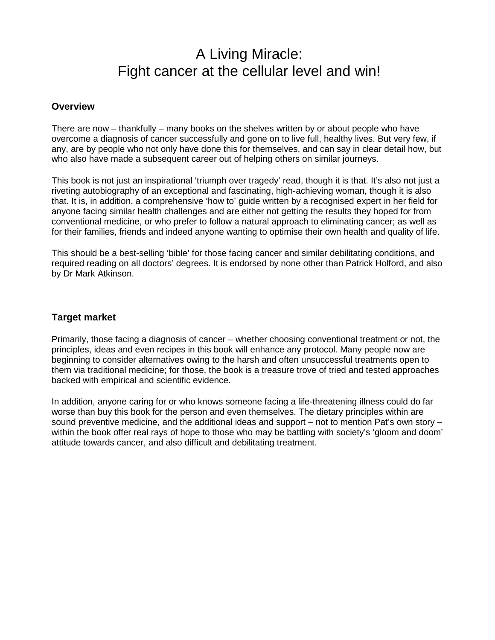# A Living Miracle: Fight cancer at the cellular level and win!

### **Overview**

There are now – thankfully – many books on the shelves written by or about people who have overcome a diagnosis of cancer successfully and gone on to live full, healthy lives. But very few, if any, are by people who not only have done this for themselves, and can say in clear detail how, but who also have made a subsequent career out of helping others on similar journeys.

This book is not just an inspirational 'triumph over tragedy' read, though it is that. It's also not just a riveting autobiography of an exceptional and fascinating, high-achieving woman, though it is also that. It is, in addition, a comprehensive 'how to' guide written by a recognised expert in her field for anyone facing similar health challenges and are either not getting the results they hoped for from conventional medicine, or who prefer to follow a natural approach to eliminating cancer; as well as for their families, friends and indeed anyone wanting to optimise their own health and quality of life.

This should be a best-selling 'bible' for those facing cancer and similar debilitating conditions, and required reading on all doctors' degrees. It is endorsed by none other than Patrick Holford, and also by Dr Mark Atkinson.

# **Target market**

Primarily, those facing a diagnosis of cancer – whether choosing conventional treatment or not, the principles, ideas and even recipes in this book will enhance any protocol. Many people now are beginning to consider alternatives owing to the harsh and often unsuccessful treatments open to them via traditional medicine; for those, the book is a treasure trove of tried and tested approaches backed with empirical and scientific evidence.

In addition, anyone caring for or who knows someone facing a life-threatening illness could do far worse than buy this book for the person and even themselves. The dietary principles within are sound preventive medicine, and the additional ideas and support – not to mention Pat's own story – within the book offer real rays of hope to those who may be battling with society's 'gloom and doom' attitude towards cancer, and also difficult and debilitating treatment.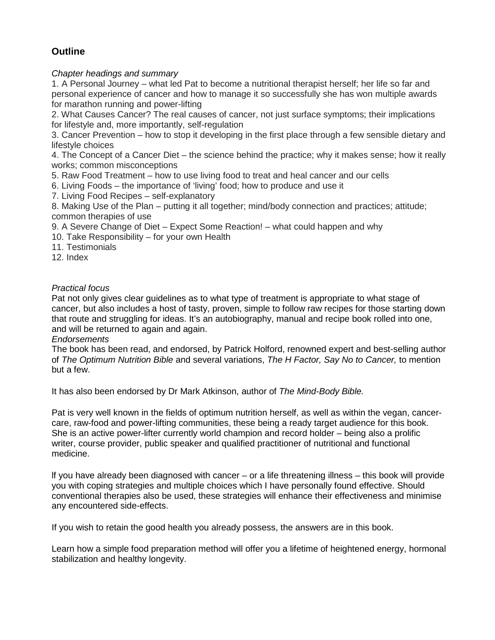# **Outline**

### *Chapter headings and summary*

1. A Personal Journey – what led Pat to become a nutritional therapist herself; her life so far and personal experience of cancer and how to manage it so successfully she has won multiple awards for marathon running and power-lifting

2. What Causes Cancer? The real causes of cancer, not just surface symptoms; their implications for lifestyle and, more importantly, self-regulation

3. Cancer Prevention – how to stop it developing in the first place through a few sensible dietary and lifestyle choices

4. The Concept of a Cancer Diet – the science behind the practice; why it makes sense; how it really works; common misconceptions

5. Raw Food Treatment – how to use living food to treat and heal cancer and our cells

6. Living Foods – the importance of 'living' food; how to produce and use it

7. Living Food Recipes – self-explanatory

8. Making Use of the Plan – putting it all together; mind/body connection and practices; attitude; common therapies of use

9. A Severe Change of Diet – Expect Some Reaction! – what could happen and why

10. Take Responsibility – for your own Health

11. Testimonials

12. Index

### *Practical focus*

Pat not only gives clear guidelines as to what type of treatment is appropriate to what stage of cancer, but also includes a host of tasty, proven, simple to follow raw recipes for those starting down that route and struggling for ideas. It's an autobiography, manual and recipe book rolled into one, and will be returned to again and again.

### *Endorsements*

The book has been read, and endorsed, by Patrick Holford, renowned expert and best-selling author of *The Optimum Nutrition Bible* and several variations, *The H Factor, Say No to Cancer,* to mention but a few.

It has also been endorsed by Dr Mark Atkinson, author of *The Mind-Body Bible.* 

Pat is very well known in the fields of optimum nutrition herself, as well as within the vegan, cancercare, raw-food and power-lifting communities, these being a ready target audience for this book. She is an active power-lifter currently world champion and record holder – being also a prolific writer, course provider, public speaker and qualified practitioner of nutritional and functional medicine.

lf you have already been diagnosed with cancer – or a life threatening illness – this book will provide you with coping strategies and multiple choices which I have personally found effective. Should conventional therapies also be used, these strategies will enhance their effectiveness and minimise any encountered side-effects.

If you wish to retain the good health you already possess, the answers are in this book.

Learn how a simple food preparation method will offer you a lifetime of heightened energy, hormonal stabilization and healthy longevity.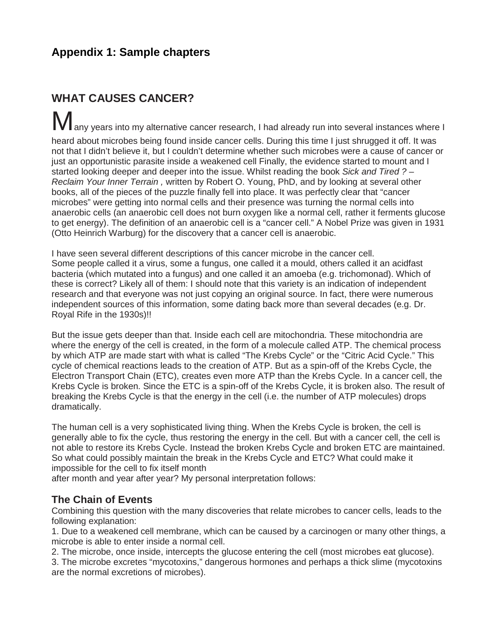# **Appendix 1: Sample chapters**

# **WHAT CAUSES CANCER?**

any years into my alternative cancer research, I had already run into several instances where I heard about microbes being found inside cancer cells. During this time I just shrugged it off. It was not that I didn't believe it, but I couldn't determine whether such microbes were a cause of cancer or just an opportunistic parasite inside a weakened cell Finally, the evidence started to mount and I started looking deeper and deeper into the issue. Whilst reading the book *Sick and Tired ? – Reclaim Your Inner Terrain ,* written by Robert O. Young, PhD, and by looking at several other books, all of the pieces of the puzzle finally fell into place. It was perfectly clear that "cancer microbes" were getting into normal cells and their presence was turning the normal cells into anaerobic cells (an anaerobic cell does not burn oxygen like a normal cell, rather it ferments glucose to get energy). The definition of an anaerobic cell is a "cancer cell." A Nobel Prize was given in 1931 (Otto Heinrich Warburg) for the discovery that a cancer cell is anaerobic.

I have seen several different descriptions of this cancer microbe in the cancer cell. Some people called it a virus, some a fungus, one called it a mould, others called it an acidfast bacteria (which mutated into a fungus) and one called it an amoeba (e.g. trichomonad). Which of these is correct? Likely all of them: I should note that this variety is an indication of independent research and that everyone was not just copying an original source. In fact, there were numerous independent sources of this information, some dating back more than several decades (e.g. Dr. Royal Rife in the 1930s)!!

But the issue gets deeper than that. Inside each cell are mitochondria. These mitochondria are where the energy of the cell is created, in the form of a molecule called ATP. The chemical process by which ATP are made start with what is called "The Krebs Cycle" or the "Citric Acid Cycle." This cycle of chemical reactions leads to the creation of ATP. But as a spin-off of the Krebs Cycle, the Electron Transport Chain (ETC), creates even more ATP than the Krebs Cycle. In a cancer cell, the Krebs Cycle is broken. Since the ETC is a spin-off of the Krebs Cycle, it is broken also. The result of breaking the Krebs Cycle is that the energy in the cell (i.e. the number of ATP molecules) drops dramatically.

The human cell is a very sophisticated living thing. When the Krebs Cycle is broken, the cell is generally able to fix the cycle, thus restoring the energy in the cell. But with a cancer cell, the cell is not able to restore its Krebs Cycle. Instead the broken Krebs Cycle and broken ETC are maintained. So what could possibly maintain the break in the Krebs Cycle and ETC? What could make it impossible for the cell to fix itself month

after month and year after year? My personal interpretation follows:

# **The Chain of Events**

Combining this question with the many discoveries that relate microbes to cancer cells, leads to the following explanation:

1. Due to a weakened cell membrane, which can be caused by a carcinogen or many other things, a microbe is able to enter inside a normal cell.

2. The microbe, once inside, intercepts the glucose entering the cell (most microbes eat glucose).

3. The microbe excretes "mycotoxins," dangerous hormones and perhaps a thick slime (mycotoxins are the normal excretions of microbes).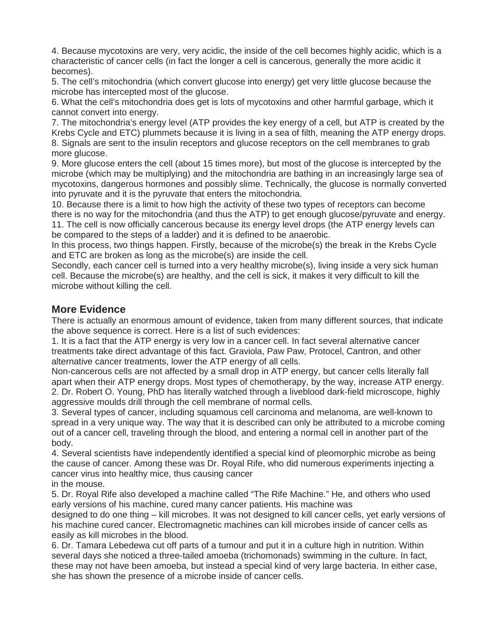4. Because mycotoxins are very, very acidic, the inside of the cell becomes highly acidic, which is a characteristic of cancer cells (in fact the longer a cell is cancerous, generally the more acidic it becomes).

5. The cell's mitochondria (which convert glucose into energy) get very little glucose because the microbe has intercepted most of the glucose.

6. What the cell's mitochondria does get is lots of mycotoxins and other harmful garbage, which it cannot convert into energy.

7. The mitochondria's energy level (ATP provides the key energy of a cell, but ATP is created by the Krebs Cycle and ETC) plummets because it is living in a sea of filth, meaning the ATP energy drops. 8. Signals are sent to the insulin receptors and glucose receptors on the cell membranes to grab more glucose.

9. More glucose enters the cell (about 15 times more), but most of the glucose is intercepted by the microbe (which may be multiplying) and the mitochondria are bathing in an increasingly large sea of mycotoxins, dangerous hormones and possibly slime. Technically, the glucose is normally converted into pyruvate and it is the pyruvate that enters the mitochondria.

10. Because there is a limit to how high the activity of these two types of receptors can become there is no way for the mitochondria (and thus the ATP) to get enough glucose/pyruvate and energy. 11. The cell is now officially cancerous because its energy level drops (the ATP energy levels can be compared to the steps of a ladder) and it is defined to be anaerobic.

In this process, two things happen. Firstly, because of the microbe(s) the break in the Krebs Cycle and ETC are broken as long as the microbe(s) are inside the cell.

Secondly, each cancer cell is turned into a very healthy microbe(s), living inside a very sick human cell. Because the microbe(s) are healthy, and the cell is sick, it makes it very difficult to kill the microbe without killing the cell.

# **More Evidence**

There is actually an enormous amount of evidence, taken from many different sources, that indicate the above sequence is correct. Here is a list of such evidences:

1. It is a fact that the ATP energy is very low in a cancer cell. In fact several alternative cancer treatments take direct advantage of this fact. Graviola, Paw Paw, Protocel, Cantron, and other alternative cancer treatments, lower the ATP energy of all cells.

Non-cancerous cells are not affected by a small drop in ATP energy, but cancer cells literally fall apart when their ATP energy drops. Most types of chemotherapy, by the way, increase ATP energy. 2. Dr. Robert O. Young, PhD has literally watched through a liveblood dark-field microscope, highly aggressive moulds drill through the cell membrane of normal cells.

3. Several types of cancer, including squamous cell carcinoma and melanoma, are well-known to spread in a very unique way. The way that it is described can only be attributed to a microbe coming out of a cancer cell, traveling through the blood, and entering a normal cell in another part of the body.

4. Several scientists have independently identified a special kind of pleomorphic microbe as being the cause of cancer. Among these was Dr. Royal Rife, who did numerous experiments injecting a cancer virus into healthy mice, thus causing cancer

in the mouse.

5. Dr. Royal Rife also developed a machine called "The Rife Machine." He, and others who used early versions of his machine, cured many cancer patients. His machine was

designed to do one thing – kill microbes. It was not designed to kill cancer cells, yet early versions of his machine cured cancer. Electromagnetic machines can kill microbes inside of cancer cells as easily as kill microbes in the blood.

6. Dr. Tamara Lebedewa cut off parts of a tumour and put it in a culture high in nutrition. Within several days she noticed a three-tailed amoeba (trichomonads) swimming in the culture. In fact, these may not have been amoeba, but instead a special kind of very large bacteria. In either case, she has shown the presence of a microbe inside of cancer cells.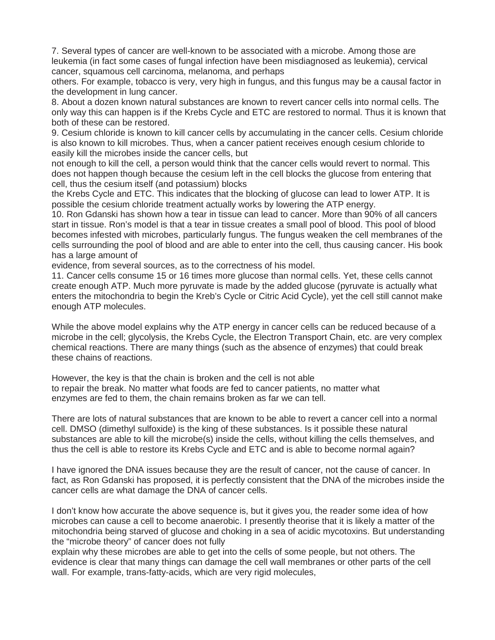7. Several types of cancer are well-known to be associated with a microbe. Among those are leukemia (in fact some cases of fungal infection have been misdiagnosed as leukemia), cervical cancer, squamous cell carcinoma, melanoma, and perhaps

others. For example, tobacco is very, very high in fungus, and this fungus may be a causal factor in the development in lung cancer.

8. About a dozen known natural substances are known to revert cancer cells into normal cells. The only way this can happen is if the Krebs Cycle and ETC are restored to normal. Thus it is known that both of these can be restored.

9. Cesium chloride is known to kill cancer cells by accumulating in the cancer cells. Cesium chloride is also known to kill microbes. Thus, when a cancer patient receives enough cesium chloride to easily kill the microbes inside the cancer cells, but

not enough to kill the cell, a person would think that the cancer cells would revert to normal. This does not happen though because the cesium left in the cell blocks the glucose from entering that cell, thus the cesium itself (and potassium) blocks

the Krebs Cycle and ETC. This indicates that the blocking of glucose can lead to lower ATP. It is possible the cesium chloride treatment actually works by lowering the ATP energy.

10. Ron Gdanski has shown how a tear in tissue can lead to cancer. More than 90% of all cancers start in tissue. Ron's model is that a tear in tissue creates a small pool of blood. This pool of blood becomes infested with microbes, particularly fungus. The fungus weaken the cell membranes of the cells surrounding the pool of blood and are able to enter into the cell, thus causing cancer. His book has a large amount of

evidence, from several sources, as to the correctness of his model.

11. Cancer cells consume 15 or 16 times more glucose than normal cells. Yet, these cells cannot create enough ATP. Much more pyruvate is made by the added glucose (pyruvate is actually what enters the mitochondria to begin the Kreb's Cycle or Citric Acid Cycle), yet the cell still cannot make enough ATP molecules.

While the above model explains why the ATP energy in cancer cells can be reduced because of a microbe in the cell; glycolysis, the Krebs Cycle, the Electron Transport Chain, etc. are very complex chemical reactions. There are many things (such as the absence of enzymes) that could break these chains of reactions.

However, the key is that the chain is broken and the cell is not able to repair the break. No matter what foods are fed to cancer patients, no matter what enzymes are fed to them, the chain remains broken as far we can tell.

There are lots of natural substances that are known to be able to revert a cancer cell into a normal cell. DMSO (dimethyl sulfoxide) is the king of these substances. Is it possible these natural substances are able to kill the microbe(s) inside the cells, without killing the cells themselves, and thus the cell is able to restore its Krebs Cycle and ETC and is able to become normal again?

I have ignored the DNA issues because they are the result of cancer, not the cause of cancer. In fact, as Ron Gdanski has proposed, it is perfectly consistent that the DNA of the microbes inside the cancer cells are what damage the DNA of cancer cells.

I don't know how accurate the above sequence is, but it gives you, the reader some idea of how microbes can cause a cell to become anaerobic. I presently theorise that it is likely a matter of the mitochondria being starved of glucose and choking in a sea of acidic mycotoxins. But understanding the "microbe theory" of cancer does not fully

explain why these microbes are able to get into the cells of some people, but not others. The evidence is clear that many things can damage the cell wall membranes or other parts of the cell wall. For example, trans-fatty-acids, which are very rigid molecules,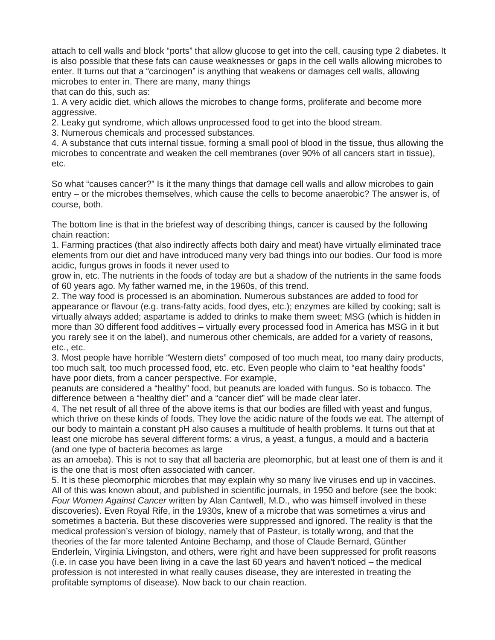attach to cell walls and block "ports" that allow glucose to get into the cell, causing type 2 diabetes. It is also possible that these fats can cause weaknesses or gaps in the cell walls allowing microbes to enter. It turns out that a "carcinogen" is anything that weakens or damages cell walls, allowing microbes to enter in. There are many, many things that can do this, such as:

1. A very acidic diet, which allows the microbes to change forms, proliferate and become more aggressive.

2. Leaky gut syndrome, which allows unprocessed food to get into the blood stream.

3. Numerous chemicals and processed substances.

4. A substance that cuts internal tissue, forming a small pool of blood in the tissue, thus allowing the microbes to concentrate and weaken the cell membranes (over 90% of all cancers start in tissue), etc.

So what "causes cancer?" Is it the many things that damage cell walls and allow microbes to gain entry – or the microbes themselves, which cause the cells to become anaerobic? The answer is, of course, both.

The bottom line is that in the briefest way of describing things, cancer is caused by the following chain reaction:

1. Farming practices (that also indirectly affects both dairy and meat) have virtually eliminated trace elements from our diet and have introduced many very bad things into our bodies. Our food is more acidic, fungus grows in foods it never used to

grow in, etc. The nutrients in the foods of today are but a shadow of the nutrients in the same foods of 60 years ago. My father warned me, in the 1960s, of this trend.

2. The way food is processed is an abomination. Numerous substances are added to food for appearance or flavour (e.g. trans-fatty acids, food dyes, etc.); enzymes are killed by cooking; salt is virtually always added; aspartame is added to drinks to make them sweet; MSG (which is hidden in more than 30 different food additives – virtually every processed food in America has MSG in it but you rarely see it on the label), and numerous other chemicals, are added for a variety of reasons, etc., etc.

3. Most people have horrible "Western diets" composed of too much meat, too many dairy products, too much salt, too much processed food, etc. etc. Even people who claim to "eat healthy foods" have poor diets, from a cancer perspective. For example,

peanuts are considered a "healthy" food, but peanuts are loaded with fungus. So is tobacco. The difference between a "healthy diet" and a "cancer diet" will be made clear later.

4. The net result of all three of the above items is that our bodies are filled with yeast and fungus, which thrive on these kinds of foods. They love the acidic nature of the foods we eat. The attempt of our body to maintain a constant pH also causes a multitude of health problems. It turns out that at least one microbe has several different forms: a virus, a yeast, a fungus, a mould and a bacteria (and one type of bacteria becomes as large

as an amoeba). This is not to say that all bacteria are pleomorphic, but at least one of them is and it is the one that is most often associated with cancer.

5. It is these pleomorphic microbes that may explain why so many live viruses end up in vaccines. All of this was known about, and published in scientific journals, in 1950 and before (see the book: *Four Women Against Cancer* written by Alan Cantwell, M.D., who was himself involved in these discoveries). Even Royal Rife, in the 1930s, knew of a microbe that was sometimes a virus and sometimes a bacteria. But these discoveries were suppressed and ignored. The reality is that the medical profession's version of biology, namely that of Pasteur, is totally wrong, and that the theories of the far more talented Antoine Bechamp, and those of Claude Bernard, Günther Enderlein, Virginia Livingston, and others, were right and have been suppressed for profit reasons (i.e. in case you have been living in a cave the last 60 years and haven't noticed – the medical profession is not interested in what really causes disease, they are interested in treating the profitable symptoms of disease). Now back to our chain reaction.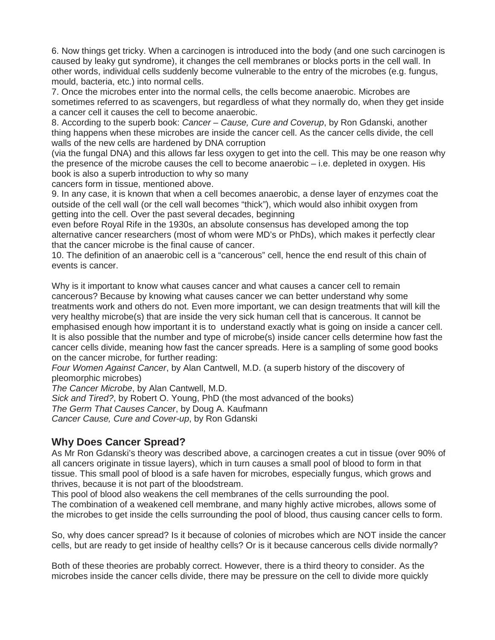6. Now things get tricky. When a carcinogen is introduced into the body (and one such carcinogen is caused by leaky gut syndrome), it changes the cell membranes or blocks ports in the cell wall. In other words, individual cells suddenly become vulnerable to the entry of the microbes (e.g. fungus, mould, bacteria, etc.) into normal cells.

7. Once the microbes enter into the normal cells, the cells become anaerobic. Microbes are sometimes referred to as scavengers, but regardless of what they normally do, when they get inside a cancer cell it causes the cell to become anaerobic.

8. According to the superb book: *Cancer – Cause, Cure and Coverup*, by Ron Gdanski, another thing happens when these microbes are inside the cancer cell. As the cancer cells divide, the cell walls of the new cells are hardened by DNA corruption

(via the fungal DNA) and this allows far less oxygen to get into the cell. This may be one reason why the presence of the microbe causes the cell to become anaerobic – i.e. depleted in oxygen. His book is also a superb introduction to why so many

cancers form in tissue, mentioned above.

9. In any case, it is known that when a cell becomes anaerobic, a dense layer of enzymes coat the outside of the cell wall (or the cell wall becomes "thick"), which would also inhibit oxygen from getting into the cell. Over the past several decades, beginning

even before Royal Rife in the 1930s, an absolute consensus has developed among the top alternative cancer researchers (most of whom were MD's or PhDs), which makes it perfectly clear that the cancer microbe is the final cause of cancer.

10. The definition of an anaerobic cell is a "cancerous" cell, hence the end result of this chain of events is cancer.

Why is it important to know what causes cancer and what causes a cancer cell to remain cancerous? Because by knowing what causes cancer we can better understand why some treatments work and others do not. Even more important, we can design treatments that will kill the very healthy microbe(s) that are inside the very sick human cell that is cancerous. It cannot be emphasised enough how important it is to understand exactly what is going on inside a cancer cell. It is also possible that the number and type of microbe(s) inside cancer cells determine how fast the cancer cells divide, meaning how fast the cancer spreads. Here is a sampling of some good books on the cancer microbe, for further reading:

*Four Women Against Cancer*, by Alan Cantwell, M.D. (a superb history of the discovery of pleomorphic microbes)

*The Cancer Microbe*, by Alan Cantwell, M.D.

*Sick and Tired?*, by Robert O. Young, PhD (the most advanced of the books) *The Germ That Causes Cancer*, by Doug A. Kaufmann *Cancer Cause, Cure and Cover-up*, by Ron Gdanski

# **Why Does Cancer Spread?**

As Mr Ron Gdanski's theory was described above, a carcinogen creates a cut in tissue (over 90% of all cancers originate in tissue layers), which in turn causes a small pool of blood to form in that tissue. This small pool of blood is a safe haven for microbes, especially fungus, which grows and thrives, because it is not part of the bloodstream.

This pool of blood also weakens the cell membranes of the cells surrounding the pool. The combination of a weakened cell membrane, and many highly active microbes, allows some of the microbes to get inside the cells surrounding the pool of blood, thus causing cancer cells to form.

So, why does cancer spread? Is it because of colonies of microbes which are NOT inside the cancer cells, but are ready to get inside of healthy cells? Or is it because cancerous cells divide normally?

Both of these theories are probably correct. However, there is a third theory to consider. As the microbes inside the cancer cells divide, there may be pressure on the cell to divide more quickly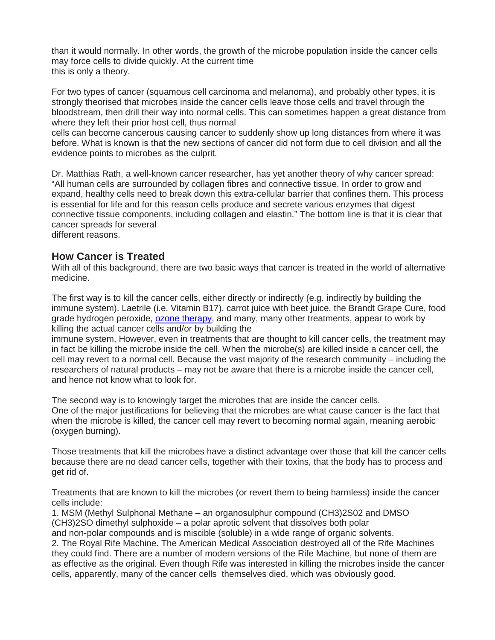than it would normally. In other words, the growth of the microbe population inside the cancer cells may force cells to divide quickly. At the current time this is only a theory.

For two types of cancer (squamous cell carcinoma and melanoma), and probably other types, it is strongly theorised that microbes inside the cancer cells leave those cells and travel through the bloodstream, then drill their way into normal cells. This can sometimes happen a great distance from where they left their prior host cell, thus normal

cells can become cancerous causing cancer to suddenly show up long distances from where it was before. What is known is that the new sections of cancer did not form due to cell division and all the evidence points to microbes as the culprit.

Dr. Matthias Rath, a well-known cancer researcher, has yet another theory of why cancer spread: "All human cells are surrounded by collagen fibres and connective tissue. In order to grow and expand, healthy cells need to break down this extra-cellular barrier that confines them. This process is essential for life and for this reason cells produce and secrete various enzymes that digest connective tissue components, including collagen and elastin." The bottom line is that it is clear that cancer spreads for several

different reasons.

### **How Cancer is Treated**

With all of this background, there are two basic ways that cancer is treated in the world of alternative medicine.

The first way is to kill the cancer cells, either directly or indirectly (e.g. indirectly by building the immune system). Laetrile (i.e. Vitamin B17), carrot juice with beet juice, the Brandt Grape Cure, food grade hydrogen peroxide, [ozone therapy,](http://www.austinozone.com/) and many, many other treatments, appear to work by killing the actual cancer cells and/or by building the

immune system, However, even in treatments that are thought to kill cancer cells, the treatment may in fact be killing the microbe inside the cell. When the microbe(s) are killed inside a cancer cell, the cell may revert to a normal cell. Because the vast majority of the research community – including the researchers of natural products – may not be aware that there is a microbe inside the cancer cell, and hence not know what to look for.

The second way is to knowingly target the microbes that are inside the cancer cells. One of the major justifications for believing that the microbes are what cause cancer is the fact that when the microbe is killed, the cancer cell may revert to becoming normal again, meaning aerobic (oxygen burning).

Those treatments that kill the microbes have a distinct advantage over those that kill the cancer cells because there are no dead cancer cells, together with their toxins, that the body has to process and get rid of.

Treatments that are known to kill the microbes (or revert them to being harmless) inside the cancer cells include:

1. MSM (Methyl Sulphonal Methane – an organosulphur compound (CH3)2S02 and DMSO (CH3)2SO dimethyl sulphoxide – a polar aprotic solvent that dissolves both polar and non-polar compounds and is miscible (soluble) in a wide range of organic solvents. 2. The Royal Rife Machine. The American Medical Association destroyed all of the Rife Machines they could find. There are a number of modern versions of the Rife Machine, but none of them are as effective as the original. Even though Rife was interested in killing the microbes inside the cancer cells, apparently, many of the cancer cells themselves died, which was obviously good.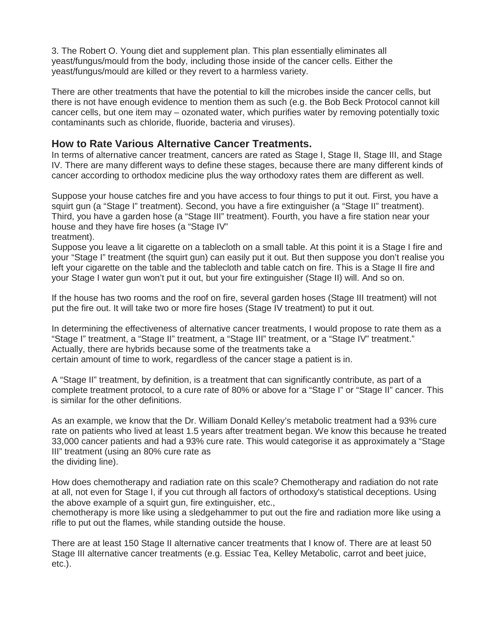3. The Robert O. Young diet and supplement plan. This plan essentially eliminates all yeast/fungus/mould from the body, including those inside of the cancer cells. Either the yeast/fungus/mould are killed or they revert to a harmless variety.

There are other treatments that have the potential to kill the microbes inside the cancer cells, but there is not have enough evidence to mention them as such (e.g. the Bob Beck Protocol cannot kill cancer cells, but one item may – ozonated water, which purifies water by removing potentially toxic contaminants such as chloride, fluoride, bacteria and viruses).

# **How to Rate Various Alternative Cancer Treatments.**

In terms of alternative cancer treatment, cancers are rated as Stage I, Stage II, Stage III, and Stage IV. There are many different ways to define these stages, because there are many different kinds of cancer according to orthodox medicine plus the way orthodoxy rates them are different as well.

Suppose your house catches fire and you have access to four things to put it out. First, you have a squirt gun (a "Stage I" treatment). Second, you have a fire extinguisher (a "Stage II" treatment). Third, you have a garden hose (a "Stage III" treatment). Fourth, you have a fire station near your house and they have fire hoses (a "Stage IV" treatment).

Suppose you leave a lit cigarette on a tablecloth on a small table. At this point it is a Stage I fire and your "Stage I" treatment (the squirt gun) can easily put it out. But then suppose you don't realise you left your cigarette on the table and the tablecloth and table catch on fire. This is a Stage II fire and your Stage I water gun won't put it out, but your fire extinguisher (Stage II) will. And so on.

If the house has two rooms and the roof on fire, several garden hoses (Stage III treatment) will not put the fire out. It will take two or more fire hoses (Stage IV treatment) to put it out.

In determining the effectiveness of alternative cancer treatments, I would propose to rate them as a "Stage I" treatment, a "Stage II" treatment, a "Stage III" treatment, or a "Stage IV" treatment." Actually, there are hybrids because some of the treatments take a certain amount of time to work, regardless of the cancer stage a patient is in.

A "Stage II" treatment, by definition, is a treatment that can significantly contribute, as part of a complete treatment protocol, to a cure rate of 80% or above for a "Stage I" or "Stage II" cancer. This is similar for the other definitions.

As an example, we know that the Dr. William Donald Kelley's metabolic treatment had a 93% cure rate on patients who lived at least 1.5 years after treatment began. We know this because he treated 33,000 cancer patients and had a 93% cure rate. This would categorise it as approximately a "Stage III" treatment (using an 80% cure rate as the dividing line).

How does chemotherapy and radiation rate on this scale? Chemotherapy and radiation do not rate at all, not even for Stage I, if you cut through all factors of orthodoxy's statistical deceptions. Using the above example of a squirt gun, fire extinguisher, etc.,

chemotherapy is more like using a sledgehammer to put out the fire and radiation more like using a rifle to put out the flames, while standing outside the house.

There are at least 150 Stage II alternative cancer treatments that I know of. There are at least 50 Stage III alternative cancer treatments (e.g. Essiac Tea, Kelley Metabolic, carrot and beet juice, etc.).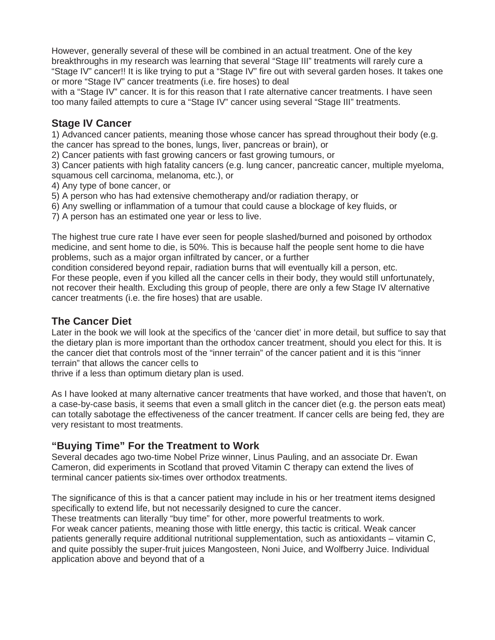However, generally several of these will be combined in an actual treatment. One of the key breakthroughs in my research was learning that several "Stage III" treatments will rarely cure a "Stage IV" cancer!! It is like trying to put a "Stage IV" fire out with several garden hoses. It takes one or more "Stage IV" cancer treatments (i.e. fire hoses) to deal

with a "Stage IV" cancer. It is for this reason that I rate alternative cancer treatments. I have seen too many failed attempts to cure a "Stage IV" cancer using several "Stage III" treatments.

# **Stage IV Cancer**

1) Advanced cancer patients, meaning those whose cancer has spread throughout their body (e.g. the cancer has spread to the bones, lungs, liver, pancreas or brain), or

2) Cancer patients with fast growing cancers or fast growing tumours, or

3) Cancer patients with high fatality cancers (e.g. lung cancer, pancreatic cancer, multiple myeloma, squamous cell carcinoma, melanoma, etc.), or

4) Any type of bone cancer, or

5) A person who has had extensive chemotherapy and/or radiation therapy, or

6) Any swelling or inflammation of a tumour that could cause a blockage of key fluids, or

7) A person has an estimated one year or less to live.

The highest true cure rate I have ever seen for people slashed/burned and poisoned by orthodox medicine, and sent home to die, is 50%. This is because half the people sent home to die have problems, such as a major organ infiltrated by cancer, or a further

condition considered beyond repair, radiation burns that will eventually kill a person, etc. For these people, even if you killed all the cancer cells in their body, they would still unfortunately, not recover their health. Excluding this group of people, there are only a few Stage IV alternative cancer treatments (i.e. the fire hoses) that are usable.

# **The Cancer Diet**

Later in the book we will look at the specifics of the 'cancer diet' in more detail, but suffice to say that the dietary plan is more important than the orthodox cancer treatment, should you elect for this. It is the cancer diet that controls most of the "inner terrain" of the cancer patient and it is this "inner terrain" that allows the cancer cells to

thrive if a less than optimum dietary plan is used.

As I have looked at many alternative cancer treatments that have worked, and those that haven't, on a case-by-case basis, it seems that even a small glitch in the cancer diet (e.g. the person eats meat) can totally sabotage the effectiveness of the cancer treatment. If cancer cells are being fed, they are very resistant to most treatments.

# **"Buying Time" For the Treatment to Work**

Several decades ago two-time Nobel Prize winner, Linus Pauling, and an associate Dr. Ewan Cameron, did experiments in Scotland that proved Vitamin C therapy can extend the lives of terminal cancer patients six-times over orthodox treatments.

The significance of this is that a cancer patient may include in his or her treatment items designed specifically to extend life, but not necessarily designed to cure the cancer.

These treatments can literally "buy time" for other, more powerful treatments to work. For weak cancer patients, meaning those with little energy, this tactic is critical. Weak cancer patients generally require additional nutritional supplementation, such as antioxidants – vitamin C, and quite possibly the super-fruit juices Mangosteen, Noni Juice, and Wolfberry Juice. Individual application above and beyond that of a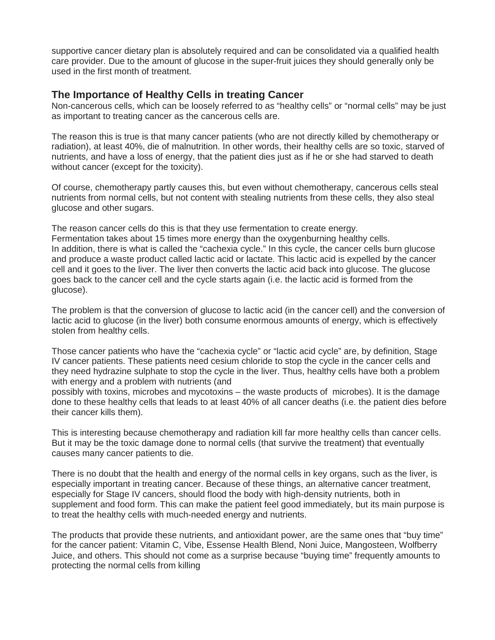supportive cancer dietary plan is absolutely required and can be consolidated via a qualified health care provider. Due to the amount of glucose in the super-fruit juices they should generally only be used in the first month of treatment.

# **The Importance of Healthy Cells in treating Cancer**

Non-cancerous cells, which can be loosely referred to as "healthy cells" or "normal cells" may be just as important to treating cancer as the cancerous cells are.

The reason this is true is that many cancer patients (who are not directly killed by chemotherapy or radiation), at least 40%, die of malnutrition. In other words, their healthy cells are so toxic, starved of nutrients, and have a loss of energy, that the patient dies just as if he or she had starved to death without cancer (except for the toxicity).

Of course, chemotherapy partly causes this, but even without chemotherapy, cancerous cells steal nutrients from normal cells, but not content with stealing nutrients from these cells, they also steal glucose and other sugars.

The reason cancer cells do this is that they use fermentation to create energy. Fermentation takes about 15 times more energy than the oxygenburning healthy cells. In addition, there is what is called the "cachexia cycle." In this cycle, the cancer cells burn glucose and produce a waste product called lactic acid or lactate. This lactic acid is expelled by the cancer cell and it goes to the liver. The liver then converts the lactic acid back into glucose. The glucose goes back to the cancer cell and the cycle starts again (i.e. the lactic acid is formed from the glucose).

The problem is that the conversion of glucose to lactic acid (in the cancer cell) and the conversion of lactic acid to glucose (in the liver) both consume enormous amounts of energy, which is effectively stolen from healthy cells.

Those cancer patients who have the "cachexia cycle" or "lactic acid cycle" are, by definition, Stage IV cancer patients. These patients need cesium chloride to stop the cycle in the cancer cells and they need hydrazine sulphate to stop the cycle in the liver. Thus, healthy cells have both a problem with energy and a problem with nutrients (and

possibly with toxins, microbes and mycotoxins – the waste products of microbes). It is the damage done to these healthy cells that leads to at least 40% of all cancer deaths (i.e. the patient dies before their cancer kills them).

This is interesting because chemotherapy and radiation kill far more healthy cells than cancer cells. But it may be the toxic damage done to normal cells (that survive the treatment) that eventually causes many cancer patients to die.

There is no doubt that the health and energy of the normal cells in key organs, such as the liver, is especially important in treating cancer. Because of these things, an alternative cancer treatment, especially for Stage IV cancers, should flood the body with high-density nutrients, both in supplement and food form. This can make the patient feel good immediately, but its main purpose is to treat the healthy cells with much-needed energy and nutrients.

The products that provide these nutrients, and antioxidant power, are the same ones that "buy time" for the cancer patient: Vitamin C, Vibe, Essense Health Blend, Noni Juice, Mangosteen, Wolfberry Juice, and others. This should not come as a surprise because "buying time" frequently amounts to protecting the normal cells from killing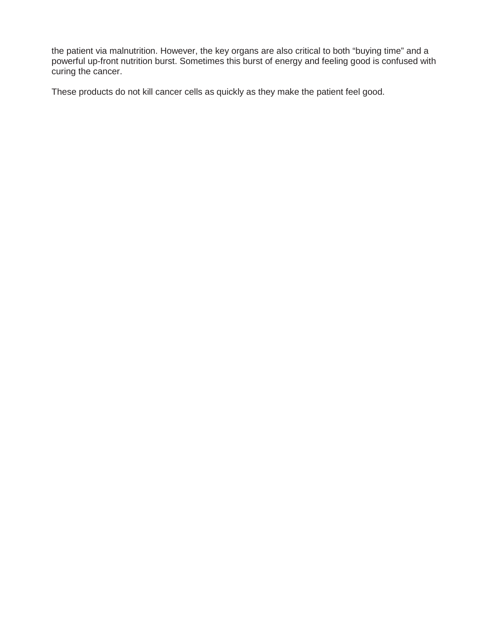the patient via malnutrition. However, the key organs are also critical to both "buying time" and a powerful up-front nutrition burst. Sometimes this burst of energy and feeling good is confused with curing the cancer.

These products do not kill cancer cells as quickly as they make the patient feel good.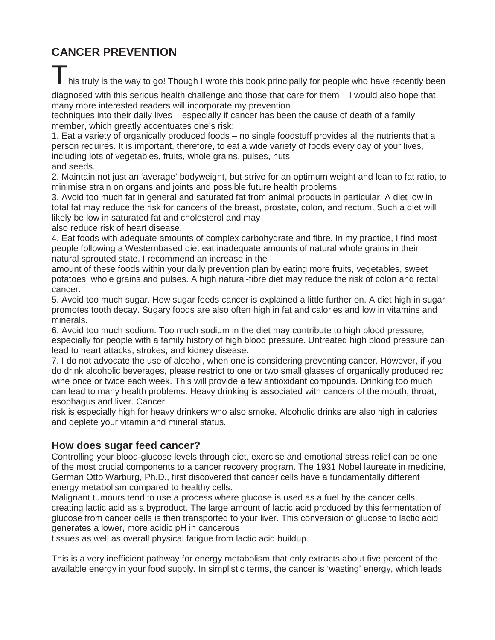# **CANCER PREVENTION**

I his truly is the way to go! Though I wrote this book principally for people who have recently been

diagnosed with this serious health challenge and those that care for them – I would also hope that many more interested readers will incorporate my prevention

techniques into their daily lives – especially if cancer has been the cause of death of a family member, which greatly accentuates one's risk:

1. Eat a variety of organically produced foods – no single foodstuff provides all the nutrients that a person requires. It is important, therefore, to eat a wide variety of foods every day of your lives, including lots of vegetables, fruits, whole grains, pulses, nuts

and seeds.

2. Maintain not just an 'average' bodyweight, but strive for an optimum weight and lean to fat ratio, to minimise strain on organs and joints and possible future health problems.

3. Avoid too much fat in general and saturated fat from animal products in particular. A diet low in total fat may reduce the risk for cancers of the breast, prostate, colon, and rectum. Such a diet will likely be low in saturated fat and cholesterol and may

also reduce risk of heart disease.

4. Eat foods with adequate amounts of complex carbohydrate and fibre. In my practice, I find most people following a Westernbased diet eat inadequate amounts of natural whole grains in their natural sprouted state. I recommend an increase in the

amount of these foods within your daily prevention plan by eating more fruits, vegetables, sweet potatoes, whole grains and pulses. A high natural-fibre diet may reduce the risk of colon and rectal cancer.

5. Avoid too much sugar. How sugar feeds cancer is explained a little further on. A diet high in sugar promotes tooth decay. Sugary foods are also often high in fat and calories and low in vitamins and minerals.

6. Avoid too much sodium. Too much sodium in the diet may contribute to high blood pressure, especially for people with a family history of high blood pressure. Untreated high blood pressure can lead to heart attacks, strokes, and kidney disease.

7. I do not advocate the use of alcohol, when one is considering preventing cancer. However, if you do drink alcoholic beverages, please restrict to one or two small glasses of organically produced red wine once or twice each week. This will provide a few antioxidant compounds. Drinking too much can lead to many health problems. Heavy drinking is associated with cancers of the mouth, throat, esophagus and liver. Cancer

risk is especially high for heavy drinkers who also smoke. Alcoholic drinks are also high in calories and deplete your vitamin and mineral status.

# **How does sugar feed cancer?**

Controlling your blood-glucose levels through diet, exercise and emotional stress relief can be one of the most crucial components to a cancer recovery program. The 1931 Nobel laureate in medicine, German Otto Warburg, Ph.D., first discovered that cancer cells have a fundamentally different energy metabolism compared to healthy cells.

Malignant tumours tend to use a process where glucose is used as a fuel by the cancer cells, creating lactic acid as a byproduct. The large amount of lactic acid produced by this fermentation of glucose from cancer cells is then transported to your liver. This conversion of glucose to lactic acid generates a lower, more acidic pH in cancerous

tissues as well as overall physical fatigue from lactic acid buildup.

This is a very inefficient pathway for energy metabolism that only extracts about five percent of the available energy in your food supply. In simplistic terms, the cancer is 'wasting' energy, which leads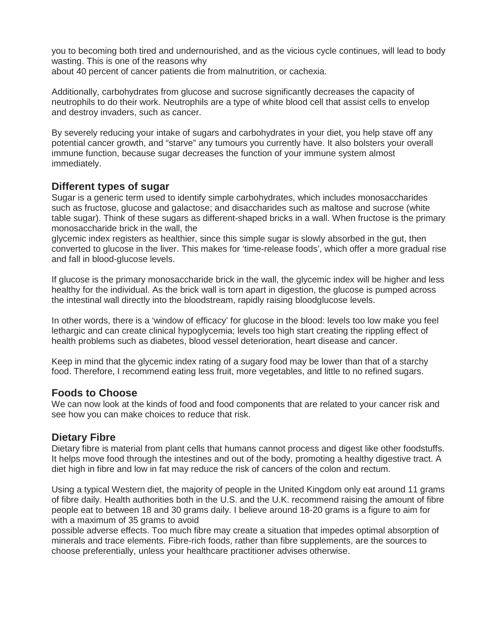you to becoming both tired and undernourished, and as the vicious cycle continues, will lead to body wasting. This is one of the reasons why about 40 percent of cancer patients die from malnutrition, or cachexia.

Additionally, carbohydrates from glucose and sucrose significantly decreases the capacity of neutrophils to do their work. Neutrophils are a type of white blood cell that assist cells to envelop and destroy invaders, such as cancer.

By severely reducing your intake of sugars and carbohydrates in your diet, you help stave off any potential cancer growth, and "starve" any tumours you currently have. It also bolsters your overall immune function, because sugar decreases the function of your immune system almost immediately.

# **Different types of sugar**

Sugar is a generic term used to identify simple carbohydrates, which includes monosaccharides such as fructose, glucose and galactose; and disaccharides such as maltose and sucrose (white table sugar). Think of these sugars as different-shaped bricks in a wall. When fructose is the primary monosaccharide brick in the wall, the

glycemic index registers as healthier, since this simple sugar is slowly absorbed in the gut, then converted to glucose in the liver. This makes for 'time-release foods', which offer a more gradual rise and fall in blood-glucose levels.

If glucose is the primary monosaccharide brick in the wall, the glycemic index will be higher and less healthy for the individual. As the brick wall is torn apart in digestion, the glucose is pumped across the intestinal wall directly into the bloodstream, rapidly raising bloodglucose levels.

In other words, there is a 'window of efficacy' for glucose in the blood: levels too low make you feel lethargic and can create clinical hypoglycemia; levels too high start creating the rippling effect of health problems such as diabetes, blood vessel deterioration, heart disease and cancer.

Keep in mind that the glycemic index rating of a sugary food may be lower than that of a starchy food. Therefore, I recommend eating less fruit, more vegetables, and little to no refined sugars.

# **Foods to Choose**

We can now look at the kinds of food and food components that are related to your cancer risk and see how you can make choices to reduce that risk.

# **Dietary Fibre**

Dietary fibre is material from plant cells that humans cannot process and digest like other foodstuffs. It helps move food through the intestines and out of the body, promoting a healthy digestive tract. A diet high in fibre and low in fat may reduce the risk of cancers of the colon and rectum.

Using a typical Western diet, the majority of people in the United Kingdom only eat around 11 grams of fibre daily. Health authorities both in the U.S. and the U.K. recommend raising the amount of fibre people eat to between 18 and 30 grams daily. I believe around 18-20 grams is a figure to aim for with a maximum of 35 grams to avoid

possible adverse effects. Too much fibre may create a situation that impedes optimal absorption of minerals and trace elements. Fibre-rich foods, rather than fibre supplements, are the sources to choose preferentially, unless your healthcare practitioner advises otherwise.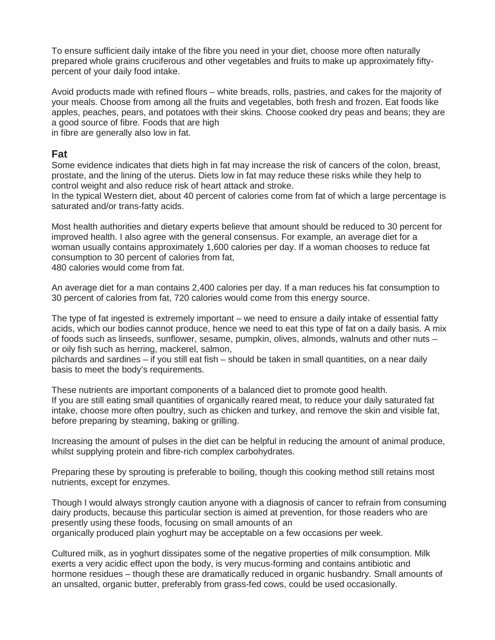To ensure sufficient daily intake of the fibre you need in your diet, choose more often naturally prepared whole grains cruciferous and other vegetables and fruits to make up approximately fiftypercent of your daily food intake.

Avoid products made with refined flours – white breads, rolls, pastries, and cakes for the majority of your meals. Choose from among all the fruits and vegetables, both fresh and frozen. Eat foods like apples, peaches, pears, and potatoes with their skins. Choose cooked dry peas and beans; they are a good source of fibre. Foods that are high in fibre are generally also low in fat.

# **Fat**

Some evidence indicates that diets high in fat may increase the risk of cancers of the colon, breast, prostate, and the lining of the uterus. Diets low in fat may reduce these risks while they help to control weight and also reduce risk of heart attack and stroke.

In the typical Western diet, about 40 percent of calories come from fat of which a large percentage is saturated and/or trans-fatty acids.

Most health authorities and dietary experts believe that amount should be reduced to 30 percent for improved health. I also agree with the general consensus. For example, an average diet for a woman usually contains approximately 1,600 calories per day. If a woman chooses to reduce fat consumption to 30 percent of calories from fat,

480 calories would come from fat.

An average diet for a man contains 2,400 calories per day. If a man reduces his fat consumption to 30 percent of calories from fat, 720 calories would come from this energy source.

The type of fat ingested is extremely important – we need to ensure a daily intake of essential fatty acids, which our bodies cannot produce, hence we need to eat this type of fat on a daily basis. A mix of foods such as linseeds, sunflower, sesame, pumpkin, olives, almonds, walnuts and other nuts – or oily fish such as herring, mackerel, salmon,

pilchards and sardines – if you still eat fish – should be taken in small quantities, on a near daily basis to meet the body's requirements.

These nutrients are important components of a balanced diet to promote good health. If you are still eating small quantities of organically reared meat, to reduce your daily saturated fat intake, choose more often poultry, such as chicken and turkey, and remove the skin and visible fat, before preparing by steaming, baking or grilling.

Increasing the amount of pulses in the diet can be helpful in reducing the amount of animal produce, whilst supplying protein and fibre-rich complex carbohydrates.

Preparing these by sprouting is preferable to boiling, though this cooking method still retains most nutrients, except for enzymes.

Though I would always strongly caution anyone with a diagnosis of cancer to refrain from consuming dairy products, because this particular section is aimed at prevention, for those readers who are presently using these foods, focusing on small amounts of an organically produced plain yoghurt may be acceptable on a few occasions per week.

Cultured milk, as in yoghurt dissipates some of the negative properties of milk consumption. Milk exerts a very acidic effect upon the body, is very mucus-forming and contains antibiotic and hormone residues – though these are dramatically reduced in organic husbandry. Small amounts of an unsalted, organic butter, preferably from grass-fed cows, could be used occasionally.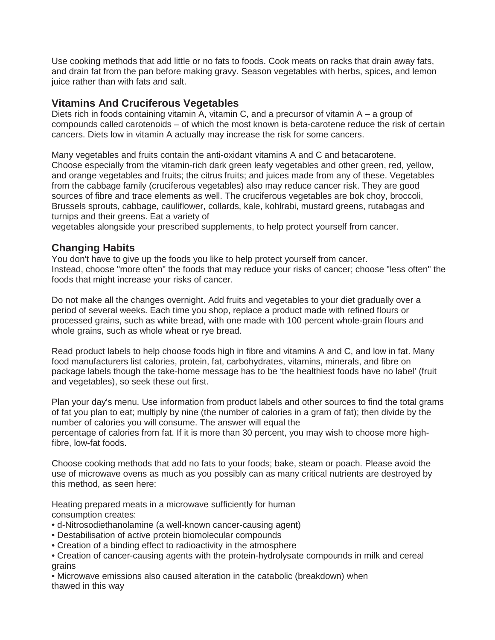Use cooking methods that add little or no fats to foods. Cook meats on racks that drain away fats, and drain fat from the pan before making gravy. Season vegetables with herbs, spices, and lemon juice rather than with fats and salt.

# **Vitamins And Cruciferous Vegetables**

Diets rich in foods containing vitamin A, vitamin C, and a precursor of vitamin A – a group of compounds called carotenoids – of which the most known is beta-carotene reduce the risk of certain cancers. Diets low in vitamin A actually may increase the risk for some cancers.

Many vegetables and fruits contain the anti-oxidant vitamins A and C and betacarotene. Choose especially from the vitamin-rich dark green leafy vegetables and other green, red, yellow, and orange vegetables and fruits; the citrus fruits; and juices made from any of these. Vegetables from the cabbage family (cruciferous vegetables) also may reduce cancer risk. They are good sources of fibre and trace elements as well. The cruciferous vegetables are bok choy, broccoli, Brussels sprouts, cabbage, cauliflower, collards, kale, kohlrabi, mustard greens, rutabagas and turnips and their greens. Eat a variety of

vegetables alongside your prescribed supplements, to help protect yourself from cancer.

# **Changing Habits**

You don't have to give up the foods you like to help protect yourself from cancer. Instead, choose "more often" the foods that may reduce your risks of cancer; choose "less often" the foods that might increase your risks of cancer.

Do not make all the changes overnight. Add fruits and vegetables to your diet gradually over a period of several weeks. Each time you shop, replace a product made with refined flours or processed grains, such as white bread, with one made with 100 percent whole-grain flours and whole grains, such as whole wheat or rye bread.

Read product labels to help choose foods high in fibre and vitamins A and C, and low in fat. Many food manufacturers list calories, protein, fat, carbohydrates, vitamins, minerals, and fibre on package labels though the take-home message has to be 'the healthiest foods have no label' (fruit and vegetables), so seek these out first.

Plan your day's menu. Use information from product labels and other sources to find the total grams of fat you plan to eat; multiply by nine (the number of calories in a gram of fat); then divide by the number of calories you will consume. The answer will equal the percentage of calories from fat. If it is more than 30 percent, you may wish to choose more highfibre, low-fat foods.

Choose cooking methods that add no fats to your foods; bake, steam or poach. Please avoid the use of microwave ovens as much as you possibly can as many critical nutrients are destroyed by this method, as seen here:

Heating prepared meats in a microwave sufficiently for human consumption creates:

- d-Nitrosodiethanolamine (a well-known cancer-causing agent)
- Destabilisation of active protein biomolecular compounds
- Creation of a binding effect to radioactivity in the atmosphere
- Creation of cancer-causing agents with the protein-hydrolysate compounds in milk and cereal grains

• Microwave emissions also caused alteration in the catabolic (breakdown) when thawed in this way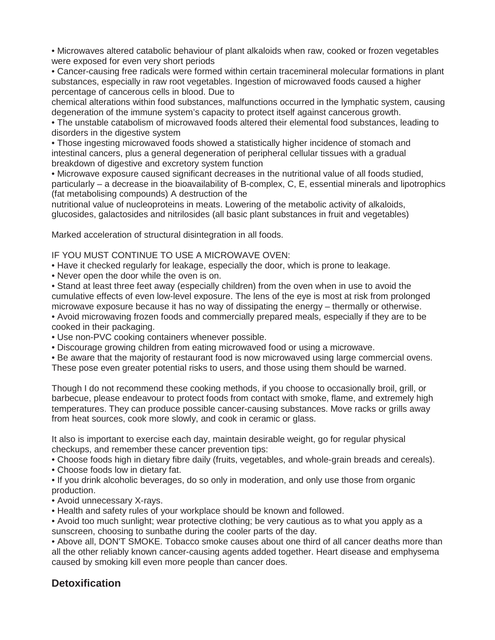• Microwaves altered catabolic behaviour of plant alkaloids when raw, cooked or frozen vegetables were exposed for even very short periods

• Cancer-causing free radicals were formed within certain tracemineral molecular formations in plant substances, especially in raw root vegetables. Ingestion of microwaved foods caused a higher percentage of cancerous cells in blood. Due to

chemical alterations within food substances, malfunctions occurred in the lymphatic system, causing degeneration of the immune system's capacity to protect itself against cancerous growth.

• The unstable catabolism of microwaved foods altered their elemental food substances, leading to disorders in the digestive system

• Those ingesting microwaved foods showed a statistically higher incidence of stomach and intestinal cancers, plus a general degeneration of peripheral cellular tissues with a gradual breakdown of digestive and excretory system function

• Microwave exposure caused significant decreases in the nutritional value of all foods studied, particularly – a decrease in the bioavailability of B-complex, C, E, essential minerals and lipotrophics (fat metabolising compounds) A destruction of the

nutritional value of nucleoproteins in meats. Lowering of the metabolic activity of alkaloids, glucosides, galactosides and nitrilosides (all basic plant substances in fruit and vegetables)

Marked acceleration of structural disintegration in all foods.

IF YOU MUST CONTINUE TO USE A MICROWAVE OVEN:

- Have it checked regularly for leakage, especially the door, which is prone to leakage.
- Never open the door while the oven is on.

• Stand at least three feet away (especially children) from the oven when in use to avoid the cumulative effects of even low-level exposure. The lens of the eye is most at risk from prolonged microwave exposure because it has no way of dissipating the energy – thermally or otherwise.

• Avoid microwaving frozen foods and commercially prepared meals, especially if they are to be cooked in their packaging.

- Use non-PVC cooking containers whenever possible.
- Discourage growing children from eating microwaved food or using a microwave.
- Be aware that the majority of restaurant food is now microwaved using large commercial ovens. These pose even greater potential risks to users, and those using them should be warned.

Though I do not recommend these cooking methods, if you choose to occasionally broil, grill, or barbecue, please endeavour to protect foods from contact with smoke, flame, and extremely high temperatures. They can produce possible cancer-causing substances. Move racks or grills away from heat sources, cook more slowly, and cook in ceramic or glass.

It also is important to exercise each day, maintain desirable weight, go for regular physical checkups, and remember these cancer prevention tips:

• Choose foods high in dietary fibre daily (fruits, vegetables, and whole-grain breads and cereals).

• Choose foods low in dietary fat.

• If you drink alcoholic beverages, do so only in moderation, and only use those from organic production.

• Avoid unnecessary X-rays.

• Health and safety rules of your workplace should be known and followed.

• Avoid too much sunlight; wear protective clothing; be very cautious as to what you apply as a sunscreen, choosing to sunbathe during the cooler parts of the day.

• Above all, DON'T SMOKE. Tobacco smoke causes about one third of all cancer deaths more than all the other reliably known cancer-causing agents added together. Heart disease and emphysema caused by smoking kill even more people than cancer does.

# **Detoxification**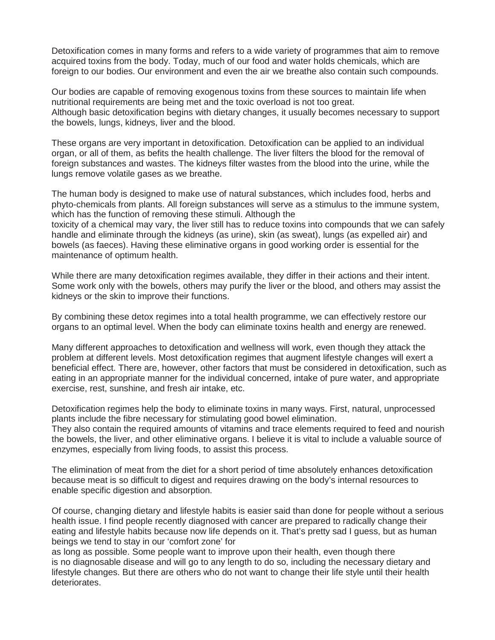Detoxification comes in many forms and refers to a wide variety of programmes that aim to remove acquired toxins from the body. Today, much of our food and water holds chemicals, which are foreign to our bodies. Our environment and even the air we breathe also contain such compounds.

Our bodies are capable of removing exogenous toxins from these sources to maintain life when nutritional requirements are being met and the toxic overload is not too great. Although basic detoxification begins with dietary changes, it usually becomes necessary to support the bowels, lungs, kidneys, liver and the blood.

These organs are very important in detoxification. Detoxification can be applied to an individual organ, or all of them, as befits the health challenge. The liver filters the blood for the removal of foreign substances and wastes. The kidneys filter wastes from the blood into the urine, while the lungs remove volatile gases as we breathe.

The human body is designed to make use of natural substances, which includes food, herbs and phyto-chemicals from plants. All foreign substances will serve as a stimulus to the immune system, which has the function of removing these stimuli. Although the toxicity of a chemical may vary, the liver still has to reduce toxins into compounds that we can safely handle and eliminate through the kidneys (as urine), skin (as sweat), lungs (as expelled air) and bowels (as faeces). Having these eliminative organs in good working order is essential for the maintenance of optimum health.

While there are many detoxification regimes available, they differ in their actions and their intent. Some work only with the bowels, others may purify the liver or the blood, and others may assist the kidneys or the skin to improve their functions.

By combining these detox regimes into a total health programme, we can effectively restore our organs to an optimal level. When the body can eliminate toxins health and energy are renewed.

Many different approaches to detoxification and wellness will work, even though they attack the problem at different levels. Most detoxification regimes that augment lifestyle changes will exert a beneficial effect. There are, however, other factors that must be considered in detoxification, such as eating in an appropriate manner for the individual concerned, intake of pure water, and appropriate exercise, rest, sunshine, and fresh air intake, etc.

Detoxification regimes help the body to eliminate toxins in many ways. First, natural, unprocessed plants include the fibre necessary for stimulating good bowel elimination.

They also contain the required amounts of vitamins and trace elements required to feed and nourish the bowels, the liver, and other eliminative organs. I believe it is vital to include a valuable source of enzymes, especially from living foods, to assist this process.

The elimination of meat from the diet for a short period of time absolutely enhances detoxification because meat is so difficult to digest and requires drawing on the body's internal resources to enable specific digestion and absorption.

Of course, changing dietary and lifestyle habits is easier said than done for people without a serious health issue. I find people recently diagnosed with cancer are prepared to radically change their eating and lifestyle habits because now life depends on it. That's pretty sad I guess, but as human beings we tend to stay in our 'comfort zone' for

as long as possible. Some people want to improve upon their health, even though there is no diagnosable disease and will go to any length to do so, including the necessary dietary and lifestyle changes. But there are others who do not want to change their life style until their health deteriorates.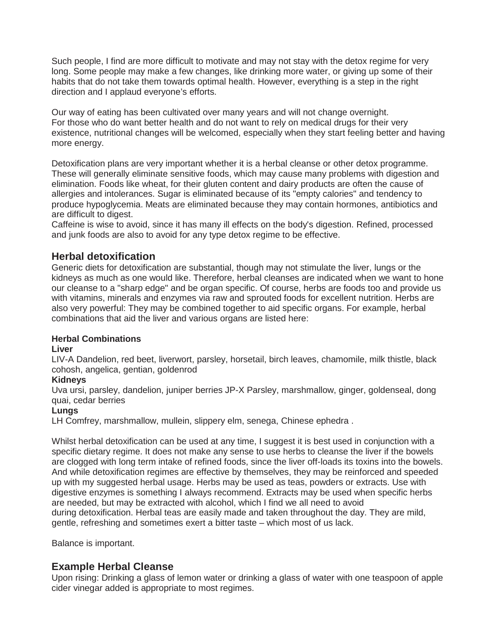Such people, I find are more difficult to motivate and may not stay with the detox regime for very long. Some people may make a few changes, like drinking more water, or giving up some of their habits that do not take them towards optimal health. However, everything is a step in the right direction and I applaud everyone's efforts.

Our way of eating has been cultivated over many years and will not change overnight. For those who do want better health and do not want to rely on medical drugs for their very existence, nutritional changes will be welcomed, especially when they start feeling better and having more energy.

Detoxification plans are very important whether it is a herbal cleanse or other detox programme. These will generally eliminate sensitive foods, which may cause many problems with digestion and elimination. Foods like wheat, for their gluten content and dairy products are often the cause of allergies and intolerances. Sugar is eliminated because of its "empty calories" and tendency to produce hypoglycemia. Meats are eliminated because they may contain hormones, antibiotics and are difficult to digest.

Caffeine is wise to avoid, since it has many ill effects on the body's digestion. Refined, processed and junk foods are also to avoid for any type detox regime to be effective.

# **Herbal detoxification**

Generic diets for detoxification are substantial, though may not stimulate the liver, lungs or the kidneys as much as one would like. Therefore, herbal cleanses are indicated when we want to hone our cleanse to a "sharp edge" and be organ specific. Of course, herbs are foods too and provide us with vitamins, minerals and enzymes via raw and sprouted foods for excellent nutrition. Herbs are also very powerful: They may be combined together to aid specific organs. For example, herbal combinations that aid the liver and various organs are listed here:

### **Herbal Combinations**

### **Liver**

LIV-A Dandelion, red beet, liverwort, parsley, horsetail, birch leaves, chamomile, milk thistle, black cohosh, angelica, gentian, goldenrod

### **Kidneys**

Uva ursi, parsley, dandelion, juniper berries JP-X Parsley, marshmallow, ginger, goldenseal, dong quai, cedar berries

### **Lungs**

LH Comfrey, marshmallow, mullein, slippery elm, senega, Chinese ephedra .

Whilst herbal detoxification can be used at any time, I suggest it is best used in conjunction with a specific dietary regime. It does not make any sense to use herbs to cleanse the liver if the bowels are clogged with long term intake of refined foods, since the liver off-loads its toxins into the bowels. And while detoxification regimes are effective by themselves, they may be reinforced and speeded up with my suggested herbal usage. Herbs may be used as teas, powders or extracts. Use with digestive enzymes is something I always recommend. Extracts may be used when specific herbs are needed, but may be extracted with alcohol, which I find we all need to avoid during detoxification. Herbal teas are easily made and taken throughout the day. They are mild, gentle, refreshing and sometimes exert a bitter taste – which most of us lack.

Balance is important.

# **Example Herbal Cleanse**

Upon rising: Drinking a glass of lemon water or drinking a glass of water with one teaspoon of apple cider vinegar added is appropriate to most regimes.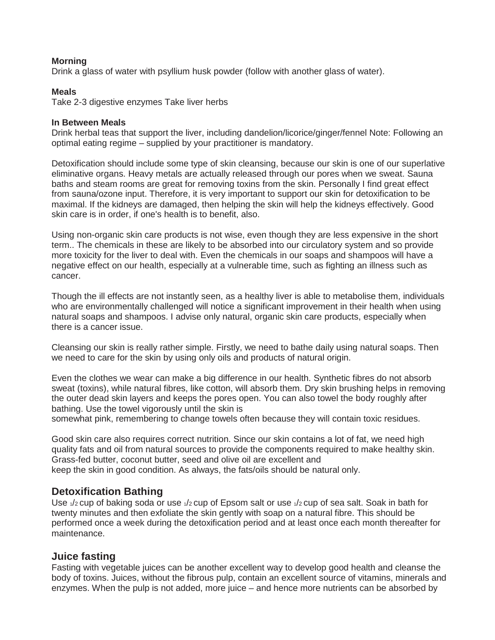### **Morning**

Drink a glass of water with psyllium husk powder (follow with another glass of water).

#### **Meals**

Take 2-3 digestive enzymes Take liver herbs

#### **In Between Meals**

Drink herbal teas that support the liver, including dandelion/licorice/ginger/fennel Note: Following an optimal eating regime – supplied by your practitioner is mandatory.

Detoxification should include some type of skin cleansing, because our skin is one of our superlative eliminative organs. Heavy metals are actually released through our pores when we sweat. Sauna baths and steam rooms are great for removing toxins from the skin. Personally I find great effect from sauna/ozone input. Therefore, it is very important to support our skin for detoxification to be maximal. If the kidneys are damaged, then helping the skin will help the kidneys effectively. Good skin care is in order, if one's health is to benefit, also.

Using non-organic skin care products is not wise, even though they are less expensive in the short term.. The chemicals in these are likely to be absorbed into our circulatory system and so provide more toxicity for the liver to deal with. Even the chemicals in our soaps and shampoos will have a negative effect on our health, especially at a vulnerable time, such as fighting an illness such as cancer.

Though the ill effects are not instantly seen, as a healthy liver is able to metabolise them, individuals who are environmentally challenged will notice a significant improvement in their health when using natural soaps and shampoos. I advise only natural, organic skin care products, especially when there is a cancer issue.

Cleansing our skin is really rather simple. Firstly, we need to bathe daily using natural soaps. Then we need to care for the skin by using only oils and products of natural origin.

Even the clothes we wear can make a big difference in our health. Synthetic fibres do not absorb sweat (toxins), while natural fibres, like cotton, will absorb them. Dry skin brushing helps in removing the outer dead skin layers and keeps the pores open. You can also towel the body roughly after bathing. Use the towel vigorously until the skin is

somewhat pink, remembering to change towels often because they will contain toxic residues.

Good skin care also requires correct nutrition. Since our skin contains a lot of fat, we need high quality fats and oil from natural sources to provide the components required to make healthy skin. Grass-fed butter, coconut butter, seed and olive oil are excellent and keep the skin in good condition. As always, the fats/oils should be natural only.

# **Detoxification Bathing**

Use  $\sqrt{2}$  cup of baking soda or use  $\sqrt{2}$  cup of Epsom salt or use  $\sqrt{2}$  cup of sea salt. Soak in bath for twenty minutes and then exfoliate the skin gently with soap on a natural fibre. This should be performed once a week during the detoxification period and at least once each month thereafter for maintenance.

# **Juice fasting**

Fasting with vegetable juices can be another excellent way to develop good health and cleanse the body of toxins. Juices, without the fibrous pulp, contain an excellent source of vitamins, minerals and enzymes. When the pulp is not added, more juice – and hence more nutrients can be absorbed by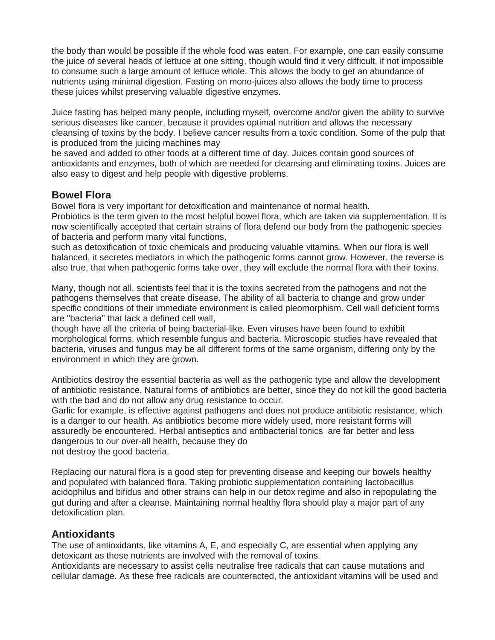the body than would be possible if the whole food was eaten. For example, one can easily consume the juice of several heads of lettuce at one sitting, though would find it very difficult, if not impossible to consume such a large amount of lettuce whole. This allows the body to get an abundance of nutrients using minimal digestion. Fasting on mono-juices also allows the body time to process these juices whilst preserving valuable digestive enzymes.

Juice fasting has helped many people, including myself, overcome and/or given the ability to survive serious diseases like cancer, because it provides optimal nutrition and allows the necessary cleansing of toxins by the body. I believe cancer results from a toxic condition. Some of the pulp that is produced from the juicing machines may

be saved and added to other foods at a different time of day. Juices contain good sources of antioxidants and enzymes, both of which are needed for cleansing and eliminating toxins. Juices are also easy to digest and help people with digestive problems.

# **Bowel Flora**

Bowel flora is very important for detoxification and maintenance of normal health.

Probiotics is the term given to the most helpful bowel flora, which are taken via supplementation. It is now scientifically accepted that certain strains of flora defend our body from the pathogenic species of bacteria and perform many vital functions,

such as detoxification of toxic chemicals and producing valuable vitamins. When our flora is well balanced, it secretes mediators in which the pathogenic forms cannot grow. However, the reverse is also true, that when pathogenic forms take over, they will exclude the normal flora with their toxins.

Many, though not all, scientists feel that it is the toxins secreted from the pathogens and not the pathogens themselves that create disease. The ability of all bacteria to change and grow under specific conditions of their immediate environment is called pleomorphism. Cell wall deficient forms are "bacteria" that lack a defined cell wall,

though have all the criteria of being bacterial-like. Even viruses have been found to exhibit morphological forms, which resemble fungus and bacteria. Microscopic studies have revealed that bacteria, viruses and fungus may be all different forms of the same organism, differing only by the environment in which they are grown.

Antibiotics destroy the essential bacteria as well as the pathogenic type and allow the development of antibiotic resistance. Natural forms of antibiotics are better, since they do not kill the good bacteria with the bad and do not allow any drug resistance to occur.

Garlic for example, is effective against pathogens and does not produce antibiotic resistance, which is a danger to our health. As antibiotics become more widely used, more resistant forms will assuredly be encountered. Herbal antiseptics and antibacterial tonics are far better and less dangerous to our over-all health, because they do not destroy the good bacteria.

Replacing our natural flora is a good step for preventing disease and keeping our bowels healthy and populated with balanced flora. Taking probiotic supplementation containing lactobacillus acidophilus and bifidus and other strains can help in our detox regime and also in repopulating the gut during and after a cleanse. Maintaining normal healthy flora should play a major part of any detoxification plan.

# **Antioxidants**

The use of antioxidants, like vitamins A, E, and especially C, are essential when applying any detoxicant as these nutrients are involved with the removal of toxins.

Antioxidants are necessary to assist cells neutralise free radicals that can cause mutations and cellular damage. As these free radicals are counteracted, the antioxidant vitamins will be used and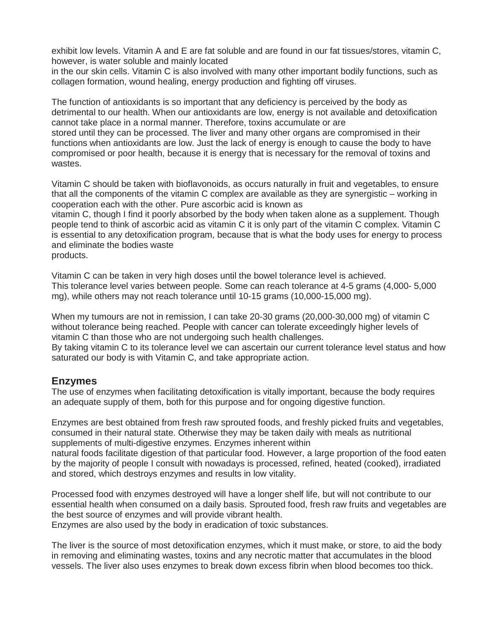exhibit low levels. Vitamin A and E are fat soluble and are found in our fat tissues/stores, vitamin C, however, is water soluble and mainly located

in the our skin cells. Vitamin C is also involved with many other important bodily functions, such as collagen formation, wound healing, energy production and fighting off viruses.

The function of antioxidants is so important that any deficiency is perceived by the body as detrimental to our health. When our antioxidants are low, energy is not available and detoxification cannot take place in a normal manner. Therefore, toxins accumulate or are stored until they can be processed. The liver and many other organs are compromised in their functions when antioxidants are low. Just the lack of energy is enough to cause the body to have compromised or poor health, because it is energy that is necessary for the removal of toxins and wastes.

Vitamin C should be taken with bioflavonoids, as occurs naturally in fruit and vegetables, to ensure that all the components of the vitamin C complex are available as they are synergistic – working in cooperation each with the other. Pure ascorbic acid is known as

vitamin C, though I find it poorly absorbed by the body when taken alone as a supplement. Though people tend to think of ascorbic acid as vitamin C it is only part of the vitamin C complex. Vitamin C is essential to any detoxification program, because that is what the body uses for energy to process and eliminate the bodies waste products.

Vitamin C can be taken in very high doses until the bowel tolerance level is achieved. This tolerance level varies between people. Some can reach tolerance at 4-5 grams (4,000- 5,000 mg), while others may not reach tolerance until 10-15 grams (10,000-15,000 mg).

When my tumours are not in remission, I can take 20-30 grams (20,000-30,000 mg) of vitamin C without tolerance being reached. People with cancer can tolerate exceedingly higher levels of vitamin C than those who are not undergoing such health challenges.

By taking vitamin C to its tolerance level we can ascertain our current tolerance level status and how saturated our body is with Vitamin C, and take appropriate action.

# **Enzymes**

The use of enzymes when facilitating detoxification is vitally important, because the body requires an adequate supply of them, both for this purpose and for ongoing digestive function.

Enzymes are best obtained from fresh raw sprouted foods, and freshly picked fruits and vegetables, consumed in their natural state. Otherwise they may be taken daily with meals as nutritional supplements of multi-digestive enzymes. Enzymes inherent within

natural foods facilitate digestion of that particular food. However, a large proportion of the food eaten by the majority of people I consult with nowadays is processed, refined, heated (cooked), irradiated and stored, which destroys enzymes and results in low vitality.

Processed food with enzymes destroyed will have a longer shelf life, but will not contribute to our essential health when consumed on a daily basis. Sprouted food, fresh raw fruits and vegetables are the best source of enzymes and will provide vibrant health.

Enzymes are also used by the body in eradication of toxic substances.

The liver is the source of most detoxification enzymes, which it must make, or store, to aid the body in removing and eliminating wastes, toxins and any necrotic matter that accumulates in the blood vessels. The liver also uses enzymes to break down excess fibrin when blood becomes too thick.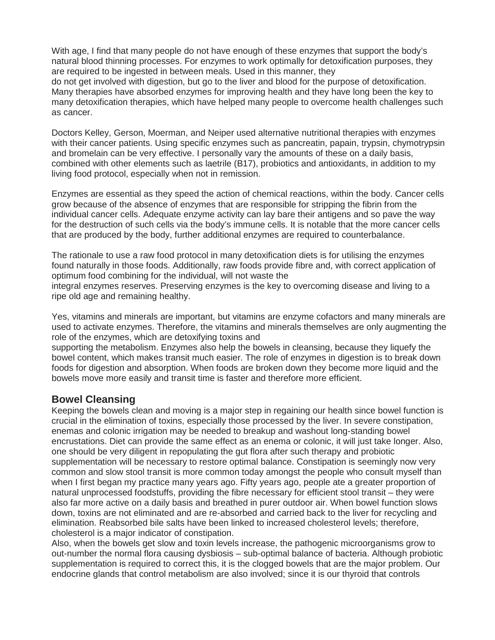With age, I find that many people do not have enough of these enzymes that support the body's natural blood thinning processes. For enzymes to work optimally for detoxification purposes, they are required to be ingested in between meals. Used in this manner, they

do not get involved with digestion, but go to the liver and blood for the purpose of detoxification. Many therapies have absorbed enzymes for improving health and they have long been the key to many detoxification therapies, which have helped many people to overcome health challenges such as cancer.

Doctors Kelley, Gerson, Moerman, and Neiper used alternative nutritional therapies with enzymes with their cancer patients. Using specific enzymes such as pancreatin, papain, trypsin, chymotrypsin and bromelain can be very effective. I personally vary the amounts of these on a daily basis, combined with other elements such as laetrile (B17), probiotics and antioxidants, in addition to my living food protocol, especially when not in remission.

Enzymes are essential as they speed the action of chemical reactions, within the body. Cancer cells grow because of the absence of enzymes that are responsible for stripping the fibrin from the individual cancer cells. Adequate enzyme activity can lay bare their antigens and so pave the way for the destruction of such cells via the body's immune cells. It is notable that the more cancer cells that are produced by the body, further additional enzymes are required to counterbalance.

The rationale to use a raw food protocol in many detoxification diets is for utilising the enzymes found naturally in those foods. Additionally, raw foods provide fibre and, with correct application of optimum food combining for the individual, will not waste the

integral enzymes reserves. Preserving enzymes is the key to overcoming disease and living to a ripe old age and remaining healthy.

Yes, vitamins and minerals are important, but vitamins are enzyme cofactors and many minerals are used to activate enzymes. Therefore, the vitamins and minerals themselves are only augmenting the role of the enzymes, which are detoxifying toxins and

supporting the metabolism. Enzymes also help the bowels in cleansing, because they liquefy the bowel content, which makes transit much easier. The role of enzymes in digestion is to break down foods for digestion and absorption. When foods are broken down they become more liquid and the bowels move more easily and transit time is faster and therefore more efficient.

# **Bowel Cleansing**

Keeping the bowels clean and moving is a major step in regaining our health since bowel function is crucial in the elimination of toxins, especially those processed by the liver. In severe constipation, enemas and colonic irrigation may be needed to breakup and washout long-standing bowel encrustations. Diet can provide the same effect as an enema or colonic, it will just take longer. Also, one should be very diligent in repopulating the gut flora after such therapy and probiotic supplementation will be necessary to restore optimal balance. Constipation is seemingly now very common and slow stool transit is more common today amongst the people who consult myself than when I first began my practice many years ago. Fifty years ago, people ate a greater proportion of natural unprocessed foodstuffs, providing the fibre necessary for efficient stool transit – they were also far more active on a daily basis and breathed in purer outdoor air. When bowel function slows down, toxins are not eliminated and are re-absorbed and carried back to the liver for recycling and elimination. Reabsorbed bile salts have been linked to increased cholesterol levels; therefore, cholesterol is a major indicator of constipation.

Also, when the bowels get slow and toxin levels increase, the pathogenic microorganisms grow to out-number the normal flora causing dysbiosis – sub-optimal balance of bacteria. Although probiotic supplementation is required to correct this, it is the clogged bowels that are the major problem. Our endocrine glands that control metabolism are also involved; since it is our thyroid that controls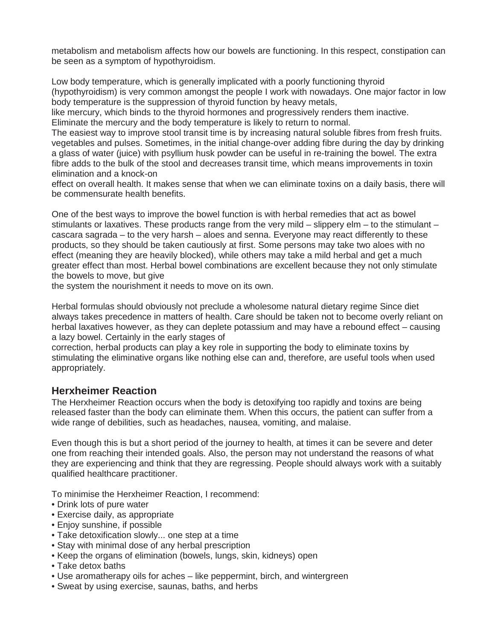metabolism and metabolism affects how our bowels are functioning. In this respect, constipation can be seen as a symptom of hypothyroidism.

Low body temperature, which is generally implicated with a poorly functioning thyroid (hypothyroidism) is very common amongst the people I work with nowadays. One major factor in low body temperature is the suppression of thyroid function by heavy metals,

like mercury, which binds to the thyroid hormones and progressively renders them inactive. Eliminate the mercury and the body temperature is likely to return to normal.

The easiest way to improve stool transit time is by increasing natural soluble fibres from fresh fruits. vegetables and pulses. Sometimes, in the initial change-over adding fibre during the day by drinking a glass of water (juice) with psyllium husk powder can be useful in re-training the bowel. The extra fibre adds to the bulk of the stool and decreases transit time, which means improvements in toxin elimination and a knock-on

effect on overall health. It makes sense that when we can eliminate toxins on a daily basis, there will be commensurate health benefits.

One of the best ways to improve the bowel function is with herbal remedies that act as bowel stimulants or laxatives. These products range from the very mild  $-$  slippery elm  $-$  to the stimulant  $$ cascara sagrada – to the very harsh – aloes and senna. Everyone may react differently to these products, so they should be taken cautiously at first. Some persons may take two aloes with no effect (meaning they are heavily blocked), while others may take a mild herbal and get a much greater effect than most. Herbal bowel combinations are excellent because they not only stimulate the bowels to move, but give

the system the nourishment it needs to move on its own.

Herbal formulas should obviously not preclude a wholesome natural dietary regime Since diet always takes precedence in matters of health. Care should be taken not to become overly reliant on herbal laxatives however, as they can deplete potassium and may have a rebound effect – causing a lazy bowel. Certainly in the early stages of

correction, herbal products can play a key role in supporting the body to eliminate toxins by stimulating the eliminative organs like nothing else can and, therefore, are useful tools when used appropriately.

# **Herxheimer Reaction**

The Herxheimer Reaction occurs when the body is detoxifying too rapidly and toxins are being released faster than the body can eliminate them. When this occurs, the patient can suffer from a wide range of debilities, such as headaches, nausea, vomiting, and malaise.

Even though this is but a short period of the journey to health, at times it can be severe and deter one from reaching their intended goals. Also, the person may not understand the reasons of what they are experiencing and think that they are regressing. People should always work with a suitably qualified healthcare practitioner.

To minimise the Herxheimer Reaction, I recommend:

- Drink lots of pure water
- Exercise daily, as appropriate
- Enjoy sunshine, if possible
- Take detoxification slowly... one step at a time
- Stay with minimal dose of any herbal prescription
- Keep the organs of elimination (bowels, lungs, skin, kidneys) open
- Take detox baths
- Use aromatherapy oils for aches like peppermint, birch, and wintergreen
- Sweat by using exercise, saunas, baths, and herbs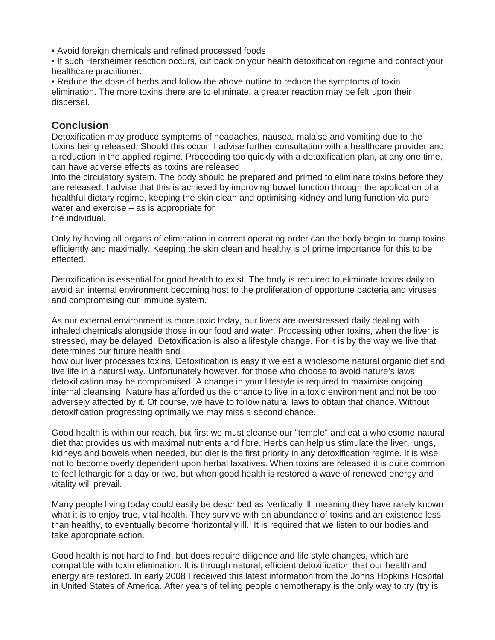- Avoid foreign chemicals and refined processed foods
- If such Herxheimer reaction occurs, cut back on your health detoxification regime and contact your healthcare practitioner.
- Reduce the dose of herbs and follow the above outline to reduce the symptoms of toxin elimination. The more toxins there are to eliminate, a greater reaction may be felt upon their dispersal.

# **Conclusion**

Detoxification may produce symptoms of headaches, nausea, malaise and vomiting due to the toxins being released. Should this occur, I advise further consultation with a healthcare provider and a reduction in the applied regime. Proceeding too quickly with a detoxification plan, at any one time, can have adverse effects as toxins are released

into the circulatory system. The body should be prepared and primed to eliminate toxins before they are released. I advise that this is achieved by improving bowel function through the application of a healthful dietary regime, keeping the skin clean and optimising kidney and lung function via pure water and exercise – as is appropriate for the individual.

Only by having all organs of elimination in correct operating order can the body begin to dump toxins efficiently and maximally. Keeping the skin clean and healthy is of prime importance for this to be effected.

Detoxification is essential for good health to exist. The body is required to eliminate toxins daily to avoid an internal environment becoming host to the proliferation of opportune bacteria and viruses and compromising our immune system.

As our external environment is more toxic today, our livers are overstressed daily dealing with inhaled chemicals alongside those in our food and water. Processing other toxins, when the liver is stressed, may be delayed. Detoxification is also a lifestyle change. For it is by the way we live that determines our future health and

how our liver processes toxins. Detoxification is easy if we eat a wholesome natural organic diet and live life in a natural way. Unfortunately however, for those who choose to avoid nature's laws, detoxification may be compromised. A change in your lifestyle is required to maximise ongoing internal cleansing. Nature has afforded us the chance to live in a toxic environment and not be too adversely affected by it. Of course, we have to follow natural laws to obtain that chance. Without detoxification progressing optimally we may miss a second chance.

Good health is within our reach, but first we must cleanse our "temple" and eat a wholesome natural diet that provides us with maximal nutrients and fibre. Herbs can help us stimulate the liver, lungs, kidneys and bowels when needed, but diet is the first priority in any detoxification regime. It is wise not to become overly dependent upon herbal laxatives. When toxins are released it is quite common to feel lethargic for a day or two, but when good health is restored a wave of renewed energy and vitality will prevail.

Many people living today could easily be described as 'vertically ill' meaning they have rarely known what it is to enjoy true, vital health. They survive with an abundance of toxins and an existence less than healthy, to eventually become 'horizontally ill.' It is required that we listen to our bodies and take appropriate action.

Good health is not hard to find, but does require diligence and life style changes, which are compatible with toxin elimination. It is through natural, efficient detoxification that our health and energy are restored. In early 2008 I received this latest information from the Johns Hopkins Hospital in United States of America. After years of telling people chemotherapy is the only way to try (try is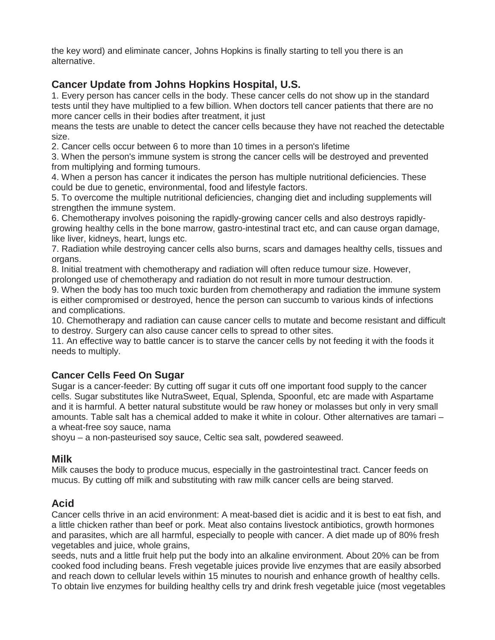the key word) and eliminate cancer, Johns Hopkins is finally starting to tell you there is an alternative.

# **Cancer Update from Johns Hopkins Hospital, U.S.**

1. Every person has cancer cells in the body. These cancer cells do not show up in the standard tests until they have multiplied to a few billion. When doctors tell cancer patients that there are no more cancer cells in their bodies after treatment, it just

means the tests are unable to detect the cancer cells because they have not reached the detectable size.

2. Cancer cells occur between 6 to more than 10 times in a person's lifetime

3. When the person's immune system is strong the cancer cells will be destroyed and prevented from multiplying and forming tumours.

4. When a person has cancer it indicates the person has multiple nutritional deficiencies. These could be due to genetic, environmental, food and lifestyle factors.

5. To overcome the multiple nutritional deficiencies, changing diet and including supplements will strengthen the immune system.

6. Chemotherapy involves poisoning the rapidly-growing cancer cells and also destroys rapidlygrowing healthy cells in the bone marrow, gastro-intestinal tract etc, and can cause organ damage, like liver, kidneys, heart, lungs etc.

7. Radiation while destroying cancer cells also burns, scars and damages healthy cells, tissues and organs.

8. Initial treatment with chemotherapy and radiation will often reduce tumour size. However, prolonged use of chemotherapy and radiation do not result in more tumour destruction.

9. When the body has too much toxic burden from chemotherapy and radiation the immune system is either compromised or destroyed, hence the person can succumb to various kinds of infections and complications.

10. Chemotherapy and radiation can cause cancer cells to mutate and become resistant and difficult to destroy. Surgery can also cause cancer cells to spread to other sites.

11. An effective way to battle cancer is to starve the cancer cells by not feeding it with the foods it needs to multiply.

# **Cancer Cells Feed On Sugar**

Sugar is a cancer-feeder: By cutting off sugar it cuts off one important food supply to the cancer cells. Sugar substitutes like NutraSweet, Equal, Splenda, Spoonful, etc are made with Aspartame and it is harmful. A better natural substitute would be raw honey or molasses but only in very small amounts. Table salt has a chemical added to make it white in colour. Other alternatives are tamari – a wheat-free soy sauce, nama

shoyu – a non-pasteurised soy sauce, Celtic sea salt, powdered seaweed.

# **Milk**

Milk causes the body to produce mucus, especially in the gastrointestinal tract. Cancer feeds on mucus. By cutting off milk and substituting with raw milk cancer cells are being starved.

# **Acid**

Cancer cells thrive in an acid environment: A meat-based diet is acidic and it is best to eat fish, and a little chicken rather than beef or pork. Meat also contains livestock antibiotics, growth hormones and parasites, which are all harmful, especially to people with cancer. A diet made up of 80% fresh vegetables and juice, whole grains,

seeds, nuts and a little fruit help put the body into an alkaline environment. About 20% can be from cooked food including beans. Fresh vegetable juices provide live enzymes that are easily absorbed and reach down to cellular levels within 15 minutes to nourish and enhance growth of healthy cells. To obtain live enzymes for building healthy cells try and drink fresh vegetable juice (most vegetables